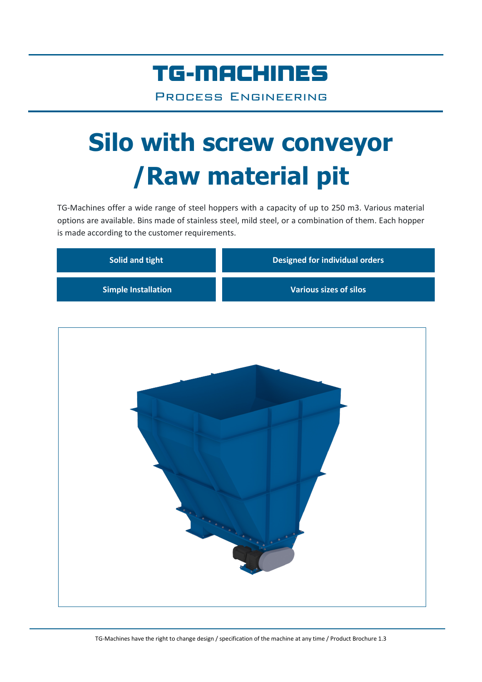## TG-MACHINES

Process Engineering

# **Silo with screw conveyor /Raw material pit**

TG-Machines offer a wide range of steel hoppers with a capacity of up to 250 m3. Various material options are available. Bins made of stainless steel, mild steel, or a combination of them. Each hopper is made according to the customer requirements.